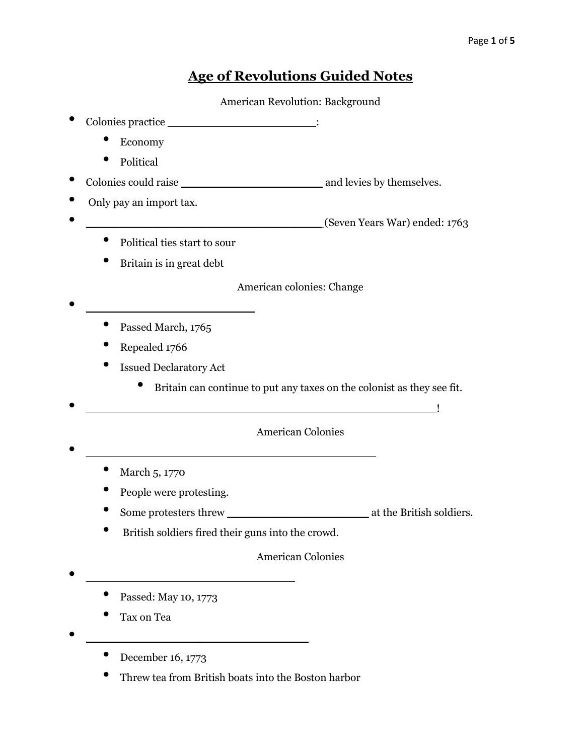# **Age of Revolutions Guided Notes**

American Revolution: Background

- Colonies practice \_\_\_\_\_\_\_\_\_\_\_\_\_\_\_\_\_\_\_\_\_\_\_\_\_\_: • Economy • Political • Colonies could raise \_\_\_\_\_\_\_\_\_\_\_\_\_\_\_\_\_\_\_\_\_ and levies by themselves. • Only pay an import tax. • \_\_\_\_\_\_\_\_\_\_\_\_\_\_\_\_\_\_\_\_\_\_\_\_\_\_\_\_\_\_\_\_\_\_\_ (Seven Years War) ended: 1763 • Political ties start to sour • Britain is in great debt American colonies: Change • Passed March, 1765 • Repealed 1766 **Issued Declaratory Act** • Britain can continue to put any taxes on the colonist as they see fit. • \_\_\_\_\_\_\_\_\_\_\_\_\_\_\_\_\_\_\_\_\_\_\_\_\_\_\_\_\_\_\_\_\_\_\_\_\_\_\_\_\_\_\_\_\_\_\_\_\_\_\_\_! American Colonies • \_\_\_\_\_\_\_\_\_\_\_\_\_\_\_\_\_\_\_\_\_\_\_\_\_\_\_\_\_\_\_\_\_\_\_\_\_\_\_\_\_\_\_ • March 5, 1770 People were protesting. • Some protesters threw \_\_\_\_\_\_\_\_\_\_\_\_\_\_\_\_\_\_\_\_\_ at the British soldiers. • British soldiers fired their guns into the crowd. American Colonies • \_\_\_\_\_\_\_\_\_\_\_\_\_\_\_\_\_\_\_\_\_\_\_\_\_\_\_\_\_\_\_ • Passed: May 10, 1773
	- Tax on Tea
	- December 16, 1773

• \_\_\_\_\_\_\_\_\_\_\_\_\_\_\_\_\_\_\_\_\_\_\_\_\_\_\_\_\_\_\_\_\_

• Threw tea from British boats into the Boston harbor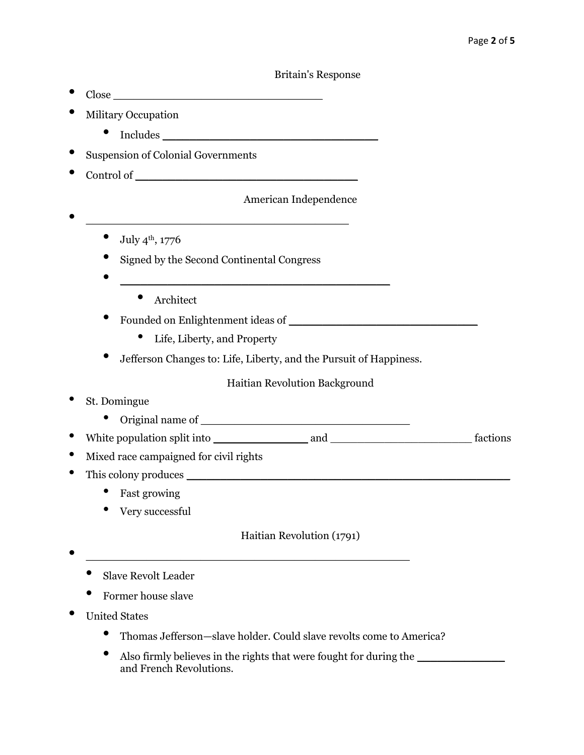#### Britain's Response

- Close \_\_\_\_\_\_\_\_\_\_\_\_\_\_\_\_\_\_\_\_\_\_\_\_\_\_\_\_\_\_\_
- Military Occupation
	- $\bullet$  Includes  $\bullet$
- Suspension of Colonial Governments
- Control of \_\_\_\_\_\_\_\_\_\_\_\_\_\_\_\_\_\_\_\_\_\_\_\_\_\_\_\_\_\_\_\_\_

# American Independence

• \_\_\_\_\_\_\_\_\_\_\_\_\_\_\_\_\_\_\_\_\_\_\_\_\_\_\_\_\_\_\_\_\_\_\_\_\_\_\_

 $\bullet$  July 4<sup>th</sup>, 1776

- Signed by the Second Continental Congress
- \_\_\_\_\_\_\_\_\_\_\_\_\_\_\_\_\_\_\_\_\_\_\_\_\_\_\_\_\_\_\_\_\_\_\_\_\_\_\_\_
	- Architect
- Founded on Enlightenment ideas of
	- Life, Liberty, and Property
- Jefferson Changes to: Life, Liberty, and the Pursuit of Happiness.

## Haitian Revolution Background

- St. Domingue
	- Original name of  $\qquad \qquad$
- White population split into \_\_\_\_\_\_\_\_\_\_\_\_\_\_ and \_\_\_\_\_\_\_\_\_\_\_\_\_\_\_\_\_\_\_\_\_ factions
- Mixed race campaigned for civil rights
- This colony produces
	- Fast growing
	- Very successful

Haitian Revolution (1791)

- $\bullet$   $\overline{\phantom{a}}$   $\overline{\phantom{a}}$   $\overline{\phantom{a}}$   $\overline{\phantom{a}}$   $\overline{\phantom{a}}$   $\overline{\phantom{a}}$   $\overline{\phantom{a}}$   $\overline{\phantom{a}}$   $\overline{\phantom{a}}$   $\overline{\phantom{a}}$   $\overline{\phantom{a}}$   $\overline{\phantom{a}}$   $\overline{\phantom{a}}$   $\overline{\phantom{a}}$   $\overline{\phantom{a}}$   $\overline{\phantom{a}}$   $\overline{\phantom{a}}$   $\overline{\phantom{a}}$ 
	- Slave Revolt Leader
	- Former house slave
- United States
	- Thomas Jefferson—slave holder. Could slave revolts come to America?
	- Also firmly believes in the rights that were fought for during the and French Revolutions.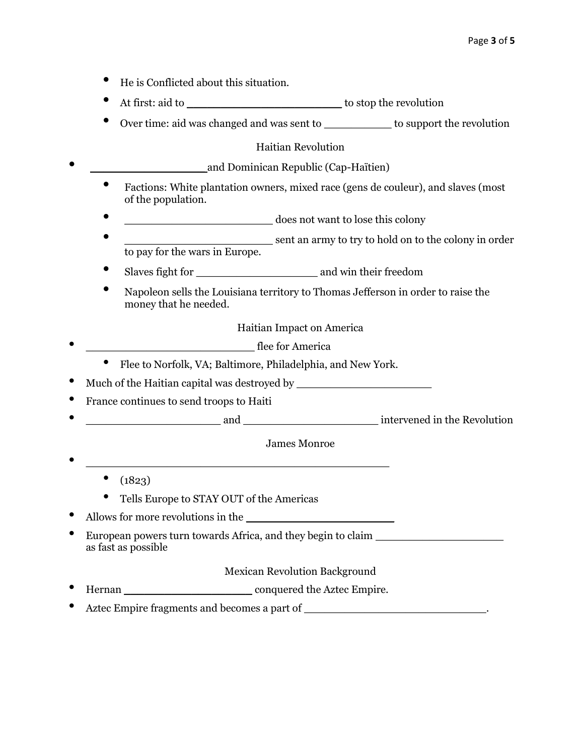- He is Conflicted about this situation.
- At first: aid to \_\_\_\_\_\_\_\_\_\_\_\_\_\_\_\_\_\_\_\_\_\_\_ to stop the revolution
- Over time: aid was changed and was sent to \_\_\_\_\_\_\_\_\_\_ to support the revolution

## Haitian Revolution

| and Dominican Republic (Cap-Haïtien) |
|--------------------------------------|
|                                      |

- Factions: White plantation owners, mixed race (gens de couleur), and slaves (most of the population.
- \_\_\_\_\_\_\_\_\_\_\_\_\_\_\_\_\_\_\_\_\_\_ does not want to lose this colony
- errigon and a sent an army to try to hold on to the colony in order to pay for the wars in Europe.
- Slaves fight for \_\_\_\_\_\_\_\_\_\_\_\_\_\_\_\_\_\_ and win their freedom
- Napoleon sells the Louisiana territory to Thomas Jefferson in order to raise the money that he needed.

Haitian Impact on America

- <del>discussed the set of the set of the set of the set of the set of the set of the set of the set of the set of the set of the set of the set of the set of the set of the set of the set of the set of the set of the set of </del>
	- Flee to Norfolk, VA; Baltimore, Philadelphia, and New York.
- Much of the Haitian capital was destroyed by **with an expected** by  $\blacksquare$
- France continues to send troops to Haiti
- \_\_\_\_\_\_\_\_\_\_\_\_\_\_\_\_\_\_\_\_ and \_\_\_\_\_\_\_\_\_\_\_\_\_\_\_\_\_\_\_\_ intervened in the Revolution

## James Monroe

- $(1823)$
- Tells Europe to STAY OUT of the Americas

 $\bullet$   $\overbrace{\hspace{25mm}}$ 

- Allows for more revolutions in the \_\_\_\_\_\_\_\_\_\_\_\_\_\_\_\_\_\_\_\_\_\_
- European powers turn towards Africa, and they begin to claim as fast as possible

Mexican Revolution Background

- Hernan \_\_\_\_\_\_\_\_\_\_\_\_\_\_\_\_\_\_\_ conquered the Aztec Empire.
- Aztec Empire fragments and becomes a part of \_\_\_\_\_\_\_\_\_\_\_\_\_\_\_\_\_\_\_\_\_\_\_\_\_\_\_.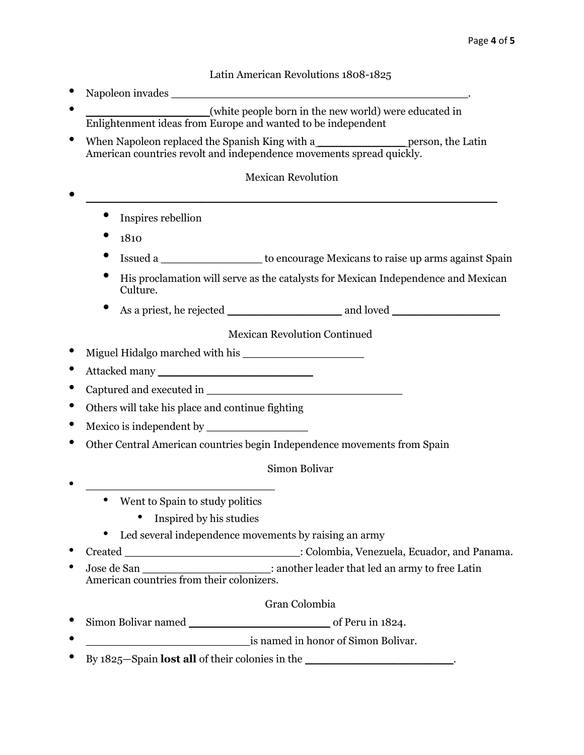## Latin American Revolutions 1808-1825

- Napoleon invades • \_\_\_\_\_\_\_\_\_\_\_\_\_\_\_\_\_\_ (white people born in the new world) were educated in Enlightenment ideas from Europe and wanted to be independent
- When Napoleon replaced the Spanish King with a\_\_\_\_\_\_\_\_\_\_\_\_\_\_\_\_\_\_\_\_\_\_\_person, the Latin American countries revolt and independence movements spread quickly.

## Mexican Revolution

- $\bullet$   $\overline{\phantom{a}}$   $\overline{\phantom{a}}$   $\overline{\phantom{a}}$   $\overline{\phantom{a}}$   $\overline{\phantom{a}}$   $\overline{\phantom{a}}$   $\overline{\phantom{a}}$   $\overline{\phantom{a}}$   $\overline{\phantom{a}}$   $\overline{\phantom{a}}$   $\overline{\phantom{a}}$   $\overline{\phantom{a}}$   $\overline{\phantom{a}}$   $\overline{\phantom{a}}$   $\overline{\phantom{a}}$   $\overline{\phantom{a}}$   $\overline{\phantom{a}}$   $\overline{\phantom{a}}$ 
	- Inspires rebellion
	- $1810$
	- Issued a \_\_\_\_\_\_\_\_\_\_\_\_\_\_\_ to encourage Mexicans to raise up arms against Spain
	- His proclamation will serve as the catalysts for Mexican Independence and Mexican Culture.
	- As a priest, he rejected and loved

Mexican Revolution Continued

- Miguel Hidalgo marched with his \_\_\_\_\_\_\_\_\_\_\_\_\_\_\_\_\_\_
- Attacked many \_\_\_\_\_\_\_\_\_\_\_\_\_\_\_\_\_\_\_\_\_\_\_
- Captured and executed in
- Others will take his place and continue fighting
- Mexico is independent by \_\_\_\_\_\_\_\_\_\_\_\_\_\_\_
- Other Central American countries begin Independence movements from Spain

#### Simon Bolivar

- $\mathcal{L}^{\mathcal{L}}(t) = \mathcal{L}^{\mathcal{L}}(t)$  , where  $\mathcal{L}^{\mathcal{L}}(\mathcal{L}^{\mathcal{L}}(t))$ 
	- Went to Spain to study politics
		- Inspired by his studies
	- Led several independence movements by raising an army
- Created \_\_\_\_\_\_\_\_\_\_\_\_\_\_\_\_\_\_\_\_\_\_\_\_\_\_: Colombia, Venezuela, Ecuador, and Panama.
- Jose de San \_\_\_\_\_\_\_\_\_\_\_\_\_\_\_\_\_\_\_: another leader that led an army to free Latin American countries from their colonizers.

#### Gran Colombia

- Simon Bolivar named \_\_\_\_\_\_\_\_\_\_\_\_\_\_\_\_\_\_\_\_\_ of Peru in 1824.
- is named in honor of Simon Bolivar.
- By 1825—Spain **lost all** of their colonies in the \_\_\_\_\_\_\_\_\_\_\_\_\_\_\_\_\_\_\_\_\_\_\_\_\_\_.